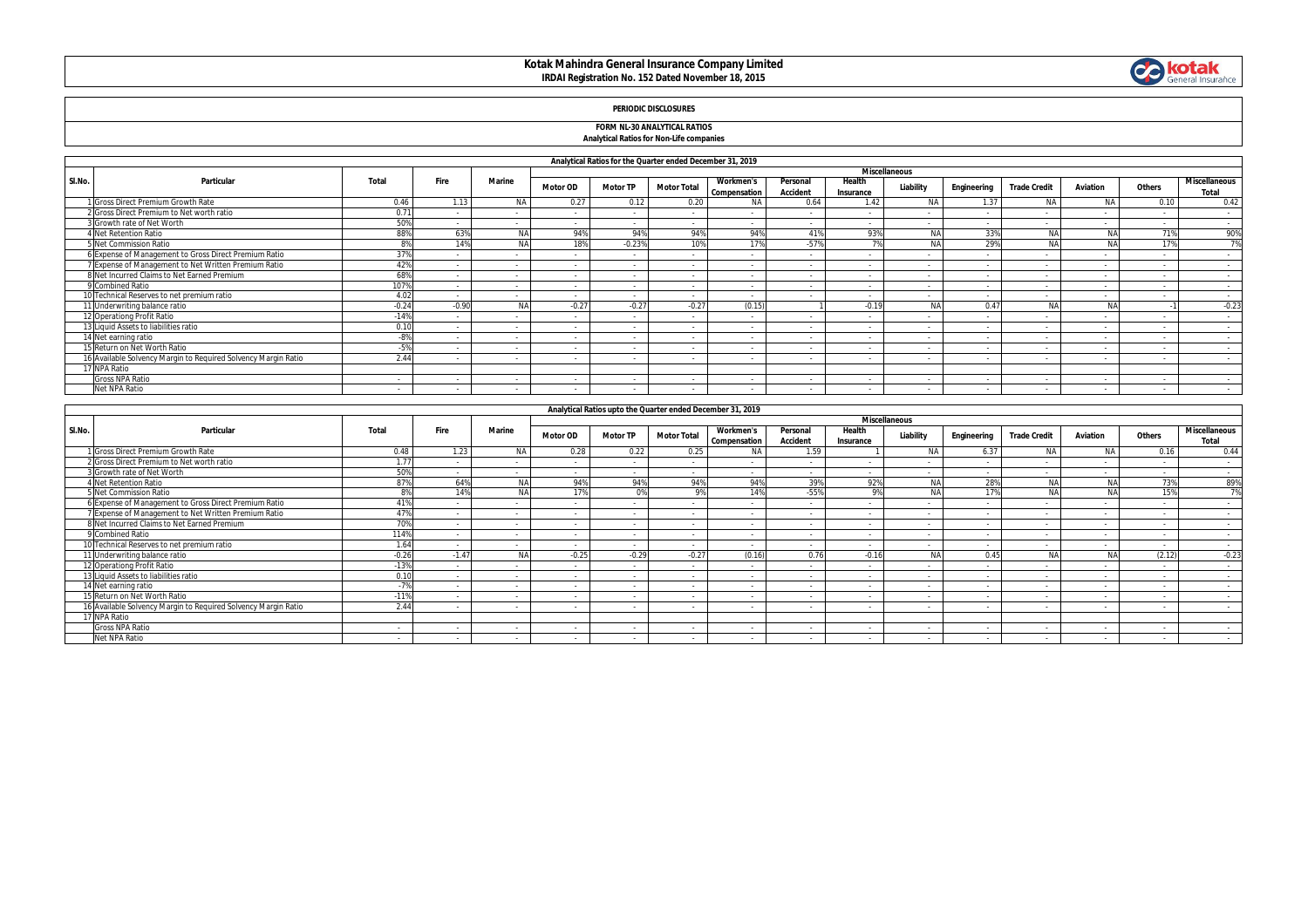# **Kotak Mahindra General Insurance Company Limited IRDAI Registration No. 152 Dated November 18, 2015**



# **PERIODIC DISCLOSURES**

### **FORM NL-30 ANALYTICAL RATIOS Analytical Ratios for Non-Life companies**

|        |                                                                |         |         |               |                 | Analytical Ratios for the Quarter ended December 31, 2019 |                    |                                  |                             |                     |                      |             |                     |                |                |                                      |
|--------|----------------------------------------------------------------|---------|---------|---------------|-----------------|-----------------------------------------------------------|--------------------|----------------------------------|-----------------------------|---------------------|----------------------|-------------|---------------------|----------------|----------------|--------------------------------------|
|        |                                                                |         |         |               |                 |                                                           |                    |                                  |                             |                     | <b>Miscellaneous</b> |             |                     |                |                |                                      |
| SI.No. | Particular                                                     | Total   | Fire    | <b>Marine</b> | <b>Motor OD</b> | <b>Motor TP</b>                                           | <b>Motor Total</b> | <b>Workmen's</b><br>Compensation | Personal<br><b>Accident</b> | Health<br>Insurance | Liability            | Engineering | <b>Trade Credit</b> | Aviation       | Others         | <b>Miscellaneous</b><br><b>Total</b> |
|        | I Gross Direct Premium Growth Rate                             | 0.46    | 1.13    | <b>NA</b>     | 0.27            | 0.12                                                      | 0.20               | <b>NA</b>                        | 0.64                        | 1.42                | <b>NA</b>            | 1.37        | N/                  | <b>NA</b>      | 0.10           | 0.42                                 |
|        | 2 Gross Direct Premium to Net worth ratio                      | 0.71    |         |               |                 | $\sim$                                                    |                    |                                  |                             |                     |                      |             |                     |                |                | $\sim$                               |
|        | 3 Growth rate of Net Worth                                     | 50%     |         |               | $\sim$          | $\sim$                                                    | . .                | $\sim$                           |                             |                     |                      | $\sim$      | $\overline{a}$      | $\overline{a}$ |                | $\sim$                               |
|        | <b>Net Retention Ratio</b>                                     | 88%     | 63%     | <b>NA</b>     | 94%             | 94%                                                       | 94%                | 94%                              | 41%                         | 93%                 | <b>NA</b>            | 33%         | NA                  | <b>NA</b>      | 71%            | 90%                                  |
|        | 5 Net Commission Ratio                                         |         | 14%     | <b>NA</b>     | 18%             | $-0.23%$                                                  | 10%                | 17%                              | $-57%$                      |                     |                      | 29%         | NA                  | <b>NA</b>      | 17%            | 7%                                   |
|        | 6 Expense of Management to Gross Direct Premium Ratio          | 379     |         |               |                 | $\sim$                                                    |                    |                                  |                             |                     |                      |             | $\sim$              |                |                | $\sim$                               |
|        | 7 Expense of Management to Net Written Premium Ratio           | 42%     |         |               | $\sim$          | $\sim$                                                    |                    |                                  |                             |                     |                      | $\sim$      | $\sim$              | $\sim$         |                | $\sim$                               |
|        | 8 Net Incurred Claims to Net Earned Premium                    | 68%     | $\sim$  |               | $\sim$          | $\sim$                                                    | . .                | $\sim$                           |                             |                     | $\sim$               | $\sim$      | $\sim$              | $\sim$         | $\sim$         | $\sim$                               |
|        | 9 Combined Ratio                                               | 1079    |         |               |                 | $\sim$                                                    |                    |                                  |                             |                     |                      |             | $\sim$              |                |                | $\sim$                               |
|        | 10 Technical Reserves to net premium ratio                     | 4.02    | $\sim$  |               | $\sim$          | $\sim$                                                    |                    |                                  |                             |                     |                      | $\sim$      | $\sim$              | $\sim$         |                | $\sim$                               |
|        | 11 Underwriting balance ratio                                  | $-0.24$ | $-0.90$ | <b>NA</b>     | $-0.27$         | $-0.27$                                                   | $-0.27$            | (0.15)                           |                             | $-0.19$             | NΔ                   | 0.47        | NA                  | NA             |                | $-0.23$                              |
|        | 12 Operationg Profit Ratio                                     | $-14%$  | $\sim$  |               | $\sim$          | $\sim$                                                    | . .                | $\sim$                           |                             | $\sim$              |                      | $\sim$      | $\sim$              | $\sim$         |                | $\sim$                               |
|        | 13 Liquid Assets to liabilities ratio                          | 0.10    |         |               | $\sim$          | $\sim$                                                    |                    |                                  |                             |                     |                      |             | $\sim$              |                |                |                                      |
|        | 14 Net earning ratio                                           | $-8%$   |         |               |                 | $\sim$                                                    |                    |                                  |                             |                     |                      |             | $\sim$              |                |                | $\overline{\phantom{a}}$             |
|        | 15 Return on Net Worth Ratio                                   | $-5%$   | $\sim$  |               | $\sim$          | $\sim$                                                    | . .                | $\sim$                           |                             | $\sim$              | $\sim$               | $\sim$      | $\sim$              | $\sim$         | $\sim$         | $\sim$                               |
|        | 16 Available Solvency Margin to Required Solvency Margin Ratio | 2.44    |         |               | $\sim$          | $\sim$                                                    | . .                | $\sim$                           | $\overline{\phantom{a}}$    | $\sim$              |                      | $\sim$      | $\overline{a}$      | $\overline{a}$ | $\overline{a}$ | $\sim$                               |
|        | 17 NPA Ratio                                                   |         |         |               |                 |                                                           |                    |                                  |                             |                     |                      |             |                     |                |                |                                      |
|        | <b>Gross NPA Ratio</b>                                         |         |         |               |                 |                                                           |                    |                                  |                             |                     |                      |             |                     |                |                |                                      |
|        | Net NPA Ratio                                                  | $\sim$  |         |               | $\sim$          | $\sim$                                                    |                    |                                  |                             |                     |                      | $\sim$      | $\sim$              | $\sim$         |                |                                      |

|        |                                                                |                |                          |               |                          | Analytical Ratios upto the Quarter ended December 31, 2019 |                          |                                  |                             |                          |                      |             |                     |           |        |                        |
|--------|----------------------------------------------------------------|----------------|--------------------------|---------------|--------------------------|------------------------------------------------------------|--------------------------|----------------------------------|-----------------------------|--------------------------|----------------------|-------------|---------------------|-----------|--------|------------------------|
|        |                                                                |                |                          |               |                          |                                                            |                          |                                  |                             |                          | <b>Miscellaneous</b> |             |                     |           |        |                        |
| SI.No. | Particular                                                     | Total          | Fire                     | <b>Marine</b> | <b>Motor OD</b>          | <b>Motor TP</b>                                            | <b>Motor Total</b>       | <b>Workmen's</b><br>Compensation | Personal<br><b>Accident</b> | Health<br>Insurance      | Liability            | Engineering | <b>Trade Credit</b> | Aviation  | Others | Miscellaneous<br>Total |
|        | 1 Gross Direct Premium Growth Rate                             | 0.48           | 1.23                     | <b>NA</b>     | 0.28                     | 0.22                                                       | 0.25                     | <b>NA</b>                        | 1.59                        |                          | <b>NA</b>            | 6.37        | <b>NA</b>           | <b>NA</b> | 0.16   | 0.44                   |
|        | 2 Gross Direct Premium to Net worth ratio                      | 1.77           |                          |               | $\sim$                   | $\overline{a}$                                             | $\sim$                   |                                  | $\sim$                      | $\sim$                   |                      |             |                     |           |        | $\sim$                 |
|        | 3 Growth rate of Net Worth                                     | 50%            | $\sim$                   |               | $\sim$                   | $\sim$                                                     | $\sim$                   |                                  | $\sim$                      | $\sim$                   | $\sim$               | $\sim$      | $\sim$              | $\sim$    | $\sim$ | $\sim$                 |
|        | <b>Net Retention Ratio</b>                                     | 87%            | 64%                      | <b>NA</b>     | 94%                      | 94%                                                        | 94%                      | 94%                              | 39%                         | 92%                      | NA                   | 28%         | NA                  | NA        | 73%    | 89%                    |
|        | 5 Net Commission Ratio                                         | 0 <sup>0</sup> | 14%                      | <b>NA</b>     | 17%                      | 0%                                                         | Q <sub>0</sub>           | 14%                              | $-55%$                      | 9%                       | <b>NA</b>            | 170         | <b>NA</b>           | <b>NA</b> | 15%    | 7%                     |
|        | 6 Expense of Management to Gross Direct Premium Ratio          | 419            |                          |               | $\sim$                   | $\sim$                                                     | $\sim$                   |                                  | $\sim$                      |                          |                      |             | $\sim$              |           |        | $\sim$                 |
|        | 7 Expense of Management to Net Written Premium Ratio           | 479            |                          |               | $\sim$                   | $\sim$                                                     | $\sim$                   |                                  | $\sim$                      |                          |                      | $\sim$      | $\sim$              |           |        | $\sim$                 |
|        | 8 Net Incurred Claims to Net Earned Premium                    | 70%            |                          |               |                          |                                                            |                          |                                  |                             |                          |                      |             |                     |           |        |                        |
|        | 9 Combined Ratio                                               | 1149           | $\sim$                   |               | $\sim$                   | $\sim$                                                     | $\sim$                   | $\overline{\phantom{a}}$         | $\sim$                      | $\sim$                   |                      | $\sim$      | $\sim$              |           | $\sim$ | $\sim$                 |
|        | 10 Technical Reserves to net premium ratio                     | 1.64           |                          |               | $\overline{\phantom{a}}$ | $\sim$                                                     | $\sim$                   |                                  | $\sim$                      |                          |                      |             |                     |           |        |                        |
|        | 11 Underwriting balance ratio                                  | $-0.26$        | $-1.47$                  | <b>NA</b>     | $-0.25$                  | $-0.29$                                                    | $-0.27$                  | (0.16)                           | 0.76                        | $-0.16$                  | <b>AIA</b>           | 0.45        | <b>AIA</b>          | NA        | (2.12) | $-0.23$                |
|        | 12 Operationg Profit Ratio                                     | $-13%$         | $\sim$                   |               | $\sim$                   | $\sim$                                                     | $\sim$                   |                                  | $\sim$                      | $\sim$                   |                      |             | $\sim$              |           |        | $\sim$                 |
|        | 13 Liquid Assets to liabilities ratio                          | 0.10           |                          |               |                          |                                                            | $\sim$                   |                                  | $\sim$                      | $\sim$                   |                      |             | $\sim$              |           | $\sim$ | $\sim$                 |
|        | 14 Net earning ratio                                           | $-7%$          | $\overline{\phantom{a}}$ |               | $\sim$                   | $\sim$                                                     | $\sim$                   |                                  | $\sim$                      |                          |                      |             |                     |           | $\sim$ | $\sim$                 |
|        | 15 Return on Net Worth Ratio                                   | $-11%$         | $\sim$                   |               | $\sim$                   |                                                            | $\overline{\phantom{a}}$ |                                  | $\sim$                      | $\sim$                   | $\sim$               | $\sim$      | $\sim$              |           | $\sim$ | $\sim$                 |
|        | 16 Available Solvency Margin to Reguired Solvency Margin Ratio | 2.44           |                          |               |                          |                                                            | $\sim$                   |                                  |                             |                          |                      |             |                     |           |        | $\sim$                 |
|        | 17 NPA Ratio                                                   |                |                          |               |                          |                                                            |                          |                                  |                             |                          |                      |             |                     |           |        |                        |
|        | <b>Gross NPA Ratio</b>                                         | $\sim$         | $\sim$                   | $\sim$        | $\sim$                   | $\sim$                                                     | $\sim$                   | . .                              | $\sim$                      | $\overline{\phantom{a}}$ | $\sim$               | $\sim$      | $\sim$              |           | $\sim$ | $\sim$                 |
|        | Net NPA Ratio                                                  | $\sim$         |                          |               |                          |                                                            |                          |                                  |                             |                          |                      |             |                     |           |        | $\sim$                 |